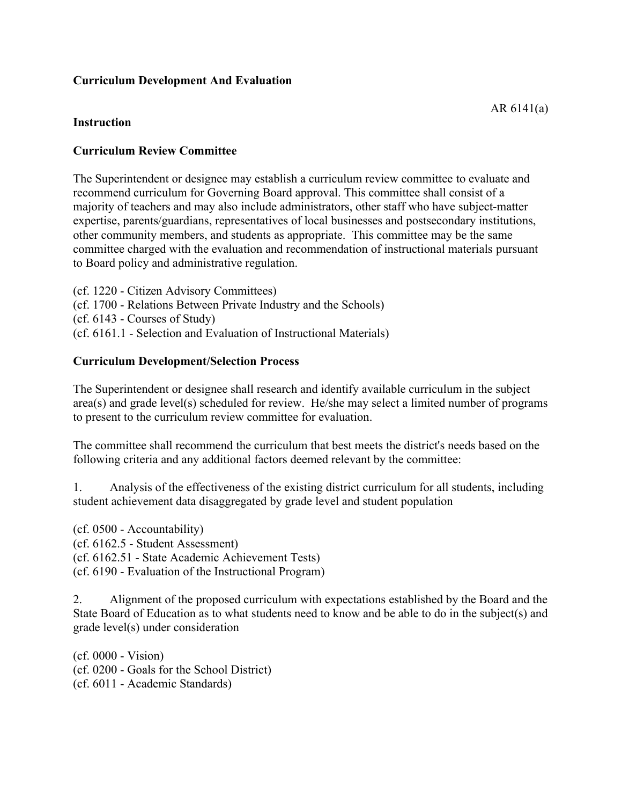# **Curriculum Development And Evaluation**

### AR 6141(a)

### **Instruction**

# **Curriculum Review Committee**

The Superintendent or designee may establish a curriculum review committee to evaluate and recommend curriculum for Governing Board approval. This committee shall consist of a majority of teachers and may also include administrators, other staff who have subject-matter expertise, parents/guardians, representatives of local businesses and postsecondary institutions, other community members, and students as appropriate. This committee may be the same committee charged with the evaluation and recommendation of instructional materials pursuant to Board policy and administrative regulation.

(cf. 1220 - Citizen Advisory Committees) (cf. 1700 - Relations Between Private Industry and the Schools) (cf. 6143 - Courses of Study) (cf. 6161.1 - Selection and Evaluation of Instructional Materials)

## **Curriculum Development/Selection Process**

The Superintendent or designee shall research and identify available curriculum in the subject area(s) and grade level(s) scheduled for review. He/she may select a limited number of programs to present to the curriculum review committee for evaluation.

The committee shall recommend the curriculum that best meets the district's needs based on the following criteria and any additional factors deemed relevant by the committee:

1. Analysis of the effectiveness of the existing district curriculum for all students, including student achievement data disaggregated by grade level and student population

(cf. 0500 - Accountability) (cf. 6162.5 - Student Assessment) (cf. 6162.51 - State Academic Achievement Tests) (cf. 6190 - Evaluation of the Instructional Program)

2. Alignment of the proposed curriculum with expectations established by the Board and the State Board of Education as to what students need to know and be able to do in the subject(s) and grade level(s) under consideration

(cf. 0000 - Vision) (cf. 0200 - Goals for the School District) (cf. 6011 - Academic Standards)